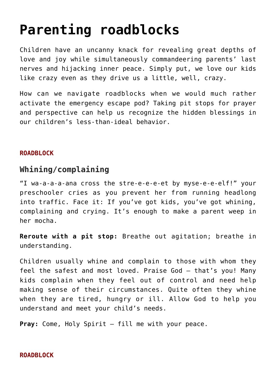# **[Parenting roadblocks](https://teachingcatholickids.com/parenting-roadblocks/)**

Children have an uncanny knack for revealing great depths of love and joy while simultaneously commandeering parents' last nerves and hijacking inner peace. Simply put, we love our kids like crazy even as they drive us a little, well, crazy.

How can we navigate roadblocks when we would much rather activate the emergency escape pod? Taking pit stops for prayer and perspective can help us recognize the hidden blessings in our children's less-than-ideal behavior.

## **ROADBLOCK**

# **Whining/complaining**

"I wa-a-a-a-ana cross the stre-e-e-e-et by myse-e-e-elf!" your preschooler cries as you prevent her from running headlong into traffic. Face it: If you've got kids, you've got whining, complaining and crying. It's enough to make a parent weep in her mocha.

**Reroute with a pit stop:** Breathe out agitation; breathe in understanding.

Children usually whine and complain to those with whom they feel the safest and most loved. Praise God — that's you! Many kids complain when they feel out of control and need help making sense of their circumstances. Quite often they whine when they are tired, hungry or ill. Allow God to help you understand and meet your child's needs.

**Pray:** Come, Holy Spirit — fill me with your peace.

### **ROADBLOCK**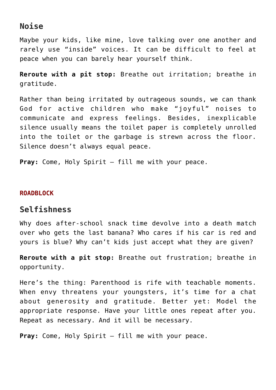## **Noise**

Maybe your kids, like mine, love talking over one another and rarely use "inside" voices. It can be difficult to feel at peace when you can barely hear yourself think.

**Reroute with a pit stop:** Breathe out irritation; breathe in gratitude.

Rather than being irritated by outrageous sounds, we can thank God for active children who make "joyful" noises to communicate and express feelings. Besides, inexplicable silence usually means the toilet paper is completely unrolled into the toilet or the garbage is strewn across the floor. Silence doesn't always equal peace.

**Pray:** Come, Holy Spirit — fill me with your peace.

#### **ROADBLOCK**

## **Selfishness**

Why does after-school snack time devolve into a death match over who gets the last banana? Who cares if his car is red and yours is blue? Why can't kids just accept what they are given?

**Reroute with a pit stop:** Breathe out frustration; breathe in opportunity.

Here's the thing: Parenthood is rife with teachable moments. When envy threatens your youngsters, it's time for a chat about generosity and gratitude. Better yet: Model the appropriate response. Have your little ones repeat after you. Repeat as necessary. And it will be necessary.

**Pray:** Come, Holy Spirit — fill me with your peace.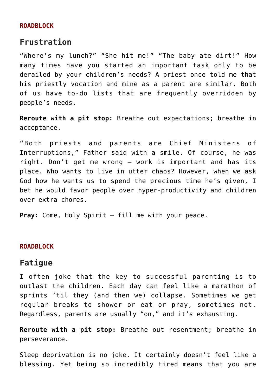#### **ROADBLOCK**

## **Frustration**

"Where's my lunch?" "She hit me!" "The baby ate dirt!" How many times have you started an important task only to be derailed by your children's needs? A priest once told me that his priestly vocation and mine as a parent are similar. Both of us have to-do lists that are frequently overridden by people's needs.

**Reroute with a pit stop:** Breathe out expectations; breathe in acceptance.

"Both priests and parents are Chief Ministers of Interruptions," Father said with a smile. Of course, he was right. Don't get me wrong — work is important and has its place. Who wants to live in utter chaos? However, when we ask God how he wants us to spend the precious time he's given, I bet he would favor people over hyper-productivity and children over extra chores.

**Pray:** Come, Holy Spirit — fill me with your peace.

#### **ROADBLOCK**

## **Fatigue**

I often joke that the key to successful parenting is to outlast the children. Each day can feel like a marathon of sprints 'til they (and then we) collapse. Sometimes we get regular breaks to shower or eat or pray, sometimes not. Regardless, parents are usually "on," and it's exhausting.

**Reroute with a pit stop:** Breathe out resentment; breathe in perseverance.

Sleep deprivation is no joke. It certainly doesn't feel like a blessing. Yet being so incredibly tired means that you are